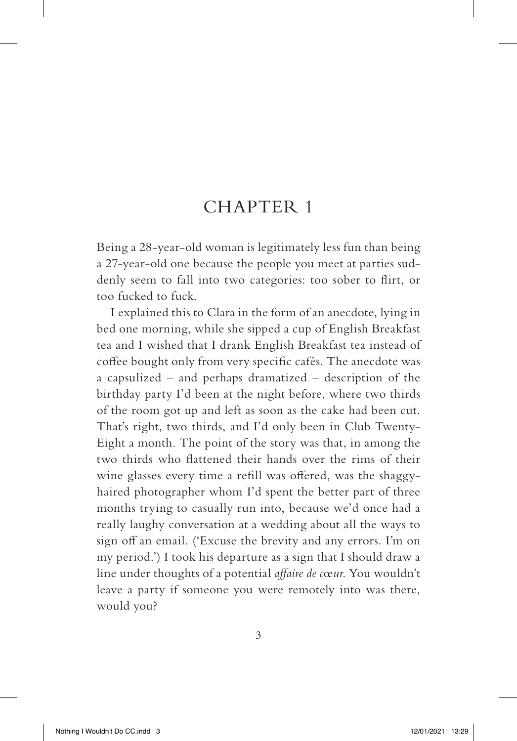# CHAPTER 1

Being a 28-year-old woman is legitimately less fun than being a 27-year-old one because the people you meet at parties suddenly seem to fall into two categories: too sober to flirt, or too fucked to fuck.

I explained this to Clara in the form of an anecdote, lying in bed one morning, while she sipped a cup of English Breakfast tea and I wished that I drank English Breakfast tea instead of coffee bought only from very specific cafés. The anecdote was a capsulized – and perhaps dramatized – description of the birthday party I'd been at the night before, where two thirds of the room got up and left as soon as the cake had been cut. That's right, two thirds, and I'd only been in Club Twenty-Eight a month. The point of the story was that, in among the two thirds who flattened their hands over the rims of their wine glasses every time a refill was offered, was the shaggyhaired photographer whom I'd spent the better part of three months trying to casually run into, because we'd once had a really laughy conversation at a wedding about all the ways to sign off an email. ('Excuse the brevity and any errors. I'm on my period.') I took his departure as a sign that I should draw a line under thoughts of a potential *affaire de c*œ*ur*. You wouldn't leave a party if someone you were remotely into was there, would you?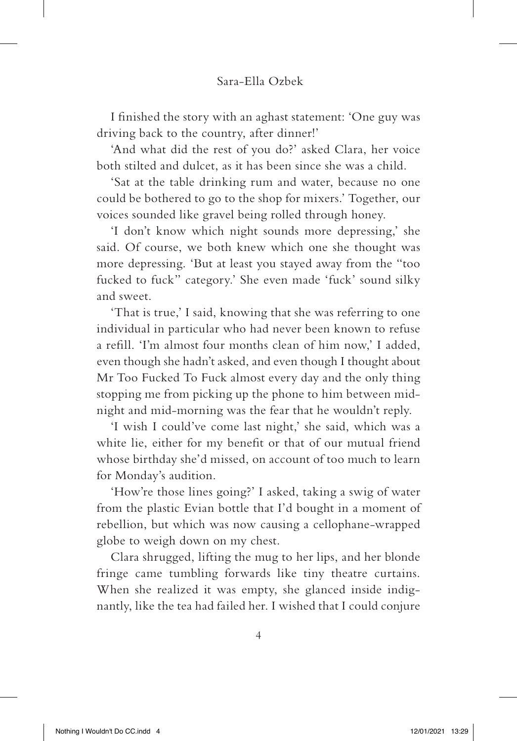I finished the story with an aghast statement: 'One guy was driving back to the country, after dinner!'

'And what did the rest of you do?' asked Clara, her voice both stilted and dulcet, as it has been since she was a child.

'Sat at the table drinking rum and water, because no one could be bothered to go to the shop for mixers.' Together, our voices sounded like gravel being rolled through honey.

'I don't know which night sounds more depressing,' she said. Of course, we both knew which one she thought was more depressing. 'But at least you stayed away from the "too fucked to fuck" category.' She even made 'fuck' sound silky and sweet.

'That is true,' I said, knowing that she was referring to one individual in particular who had never been known to refuse a refill. 'I'm almost four months clean of him now,' I added, even though she hadn't asked, and even though I thought about Mr Too Fucked To Fuck almost every day and the only thing stopping me from picking up the phone to him between midnight and mid-morning was the fear that he wouldn't reply.

'I wish I could've come last night,' she said, which was a white lie, either for my benefit or that of our mutual friend whose birthday she'd missed, on account of too much to learn for Monday's audition.

'How're those lines going?' I asked, taking a swig of water from the plastic Evian bottle that I'd bought in a moment of rebellion, but which was now causing a cellophane-wrapped globe to weigh down on my chest.

Clara shrugged, lifting the mug to her lips, and her blonde fringe came tumbling forwards like tiny theatre curtains. When she realized it was empty, she glanced inside indignantly, like the tea had failed her. I wished that I could conjure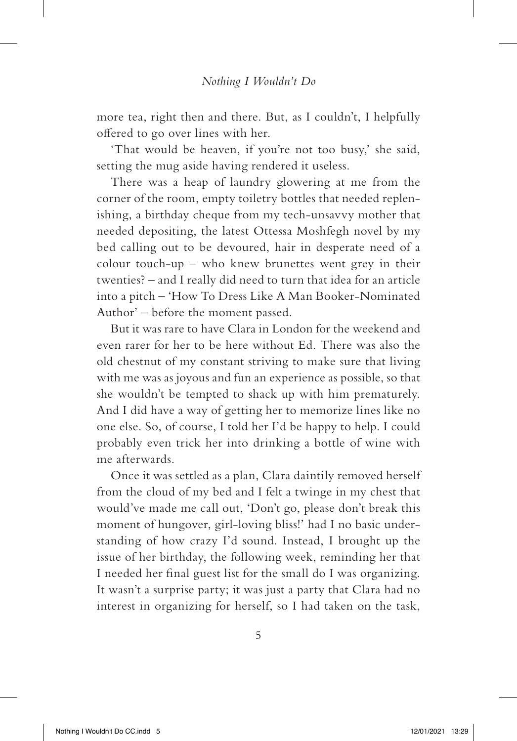more tea, right then and there. But, as I couldn't, I helpfully offered to go over lines with her.

'That would be heaven, if you're not too busy,' she said, setting the mug aside having rendered it useless.

There was a heap of laundry glowering at me from the corner of the room, empty toiletry bottles that needed replenishing, a birthday cheque from my tech-unsavvy mother that needed depositing, the latest Ottessa Moshfegh novel by my bed calling out to be devoured, hair in desperate need of a colour touch-up  $-$  who knew brunettes went grey in their twenties? – and I really did need to turn that idea for an article into a pitch – 'How To Dress Like A Man Booker-Nominated Author' – before the moment passed.

But it was rare to have Clara in London for the weekend and even rarer for her to be here without Ed. There was also the old chestnut of my constant striving to make sure that living with me was as joyous and fun an experience as possible, so that she wouldn't be tempted to shack up with him prematurely. And I did have a way of getting her to memorize lines like no one else. So, of course, I told her I'd be happy to help. I could probably even trick her into drinking a bottle of wine with me afterwards.

Once it was settled as a plan, Clara daintily removed herself from the cloud of my bed and I felt a twinge in my chest that would've made me call out, 'Don't go, please don't break this moment of hungover, girl-loving bliss!' had I no basic understanding of how crazy I'd sound. Instead, I brought up the issue of her birthday, the following week, reminding her that I needed her final guest list for the small do I was organizing. It wasn't a surprise party; it was just a party that Clara had no interest in organizing for herself, so I had taken on the task,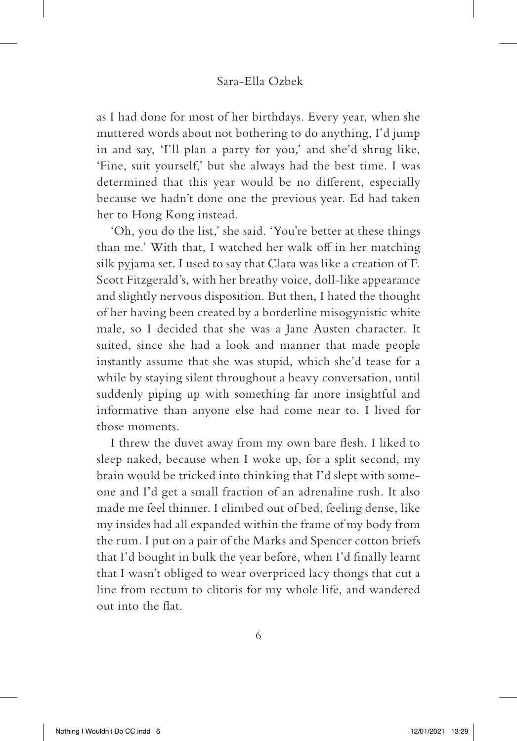as I had done for most of her birthdays. Every year, when she muttered words about not bothering to do anything, I'd jump in and say, 'I'll plan a party for you,' and she'd shrug like, 'Fine, suit yourself,' but she always had the best time. I was determined that this year would be no different, especially because we hadn't done one the previous year. Ed had taken her to Hong Kong instead.

'Oh, you do the list,' she said. 'You're better at these things than me.' With that, I watched her walk off in her matching silk pyjama set. I used to say that Clara was like a creation of F. Scott Fitzgerald's, with her breathy voice, doll-like appearance and slightly nervous disposition. But then, I hated the thought of her having been created by a borderline misogynistic white male, so I decided that she was a Jane Austen character. It suited, since she had a look and manner that made people instantly assume that she was stupid, which she'd tease for a while by staying silent throughout a heavy conversation, until suddenly piping up with something far more insightful and informative than anyone else had come near to. I lived for those moments.

I threw the duvet away from my own bare flesh. I liked to sleep naked, because when I woke up, for a split second, my brain would be tricked into thinking that I'd slept with someone and I'd get a small fraction of an adrenaline rush. It also made me feel thinner. I climbed out of bed, feeling dense, like my insides had all expanded within the frame of my body from the rum. I put on a pair of the Marks and Spencer cotton briefs that I'd bought in bulk the year before, when I'd finally learnt that I wasn't obliged to wear overpriced lacy thongs that cut a line from rectum to clitoris for my whole life, and wandered out into the flat.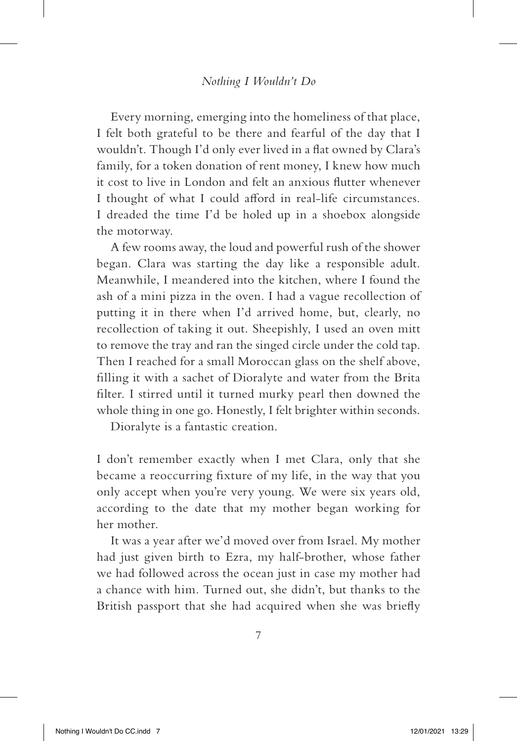Every morning, emerging into the homeliness of that place, I felt both grateful to be there and fearful of the day that I wouldn't. Though I'd only ever lived in a flat owned by Clara's family, for a token donation of rent money, I knew how much it cost to live in London and felt an anxious flutter whenever I thought of what I could afford in real-life circumstances. I dreaded the time I'd be holed up in a shoebox alongside the motorway.

A few rooms away, the loud and powerful rush of the shower began. Clara was starting the day like a responsible adult. Meanwhile, I meandered into the kitchen, where I found the ash of a mini pizza in the oven. I had a vague recollection of putting it in there when I'd arrived home, but, clearly, no recollection of taking it out. Sheepishly, I used an oven mitt to remove the tray and ran the singed circle under the cold tap. Then I reached for a small Moroccan glass on the shelf above, filling it with a sachet of Dioralyte and water from the Brita filter. I stirred until it turned murky pearl then downed the whole thing in one go. Honestly, I felt brighter within seconds.

Dioralyte is a fantastic creation.

I don't remember exactly when I met Clara, only that she became a reoccurring fixture of my life, in the way that you only accept when you're very young. We were six years old, according to the date that my mother began working for her mother.

It was a year after we'd moved over from Israel. My mother had just given birth to Ezra, my half-brother, whose father we had followed across the ocean just in case my mother had a chance with him. Turned out, she didn't, but thanks to the British passport that she had acquired when she was briefly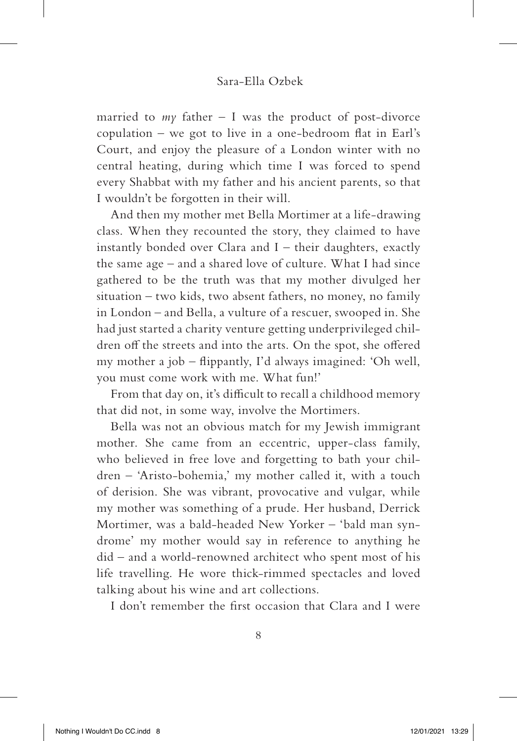married to  $my$  father  $-1$  was the product of post-divorce copulation – we got to live in a one-bedroom flat in Earl's Court, and enjoy the pleasure of a London winter with no central heating, during which time I was forced to spend every Shabbat with my father and his ancient parents, so that I wouldn't be forgotten in their will.

And then my mother met Bella Mortimer at a life-drawing class. When they recounted the story, they claimed to have instantly bonded over Clara and I – their daughters, exactly the same age – and a shared love of culture. What I had since gathered to be the truth was that my mother divulged her situation – two kids, two absent fathers, no money, no family in London – and Bella, a vulture of a rescuer, swooped in. She had just started a charity venture getting underprivileged children off the streets and into the arts. On the spot, she offered my mother a job – flippantly, I'd always imagined: 'Oh well, you must come work with me. What fun!'

From that day on, it's difficult to recall a childhood memory that did not, in some way, involve the Mortimers.

Bella was not an obvious match for my Jewish immigrant mother. She came from an eccentric, upper-class family, who believed in free love and forgetting to bath your children – 'Aristo-bohemia,' my mother called it, with a touch of derision. She was vibrant, provocative and vulgar, while my mother was something of a prude. Her husband, Derrick Mortimer, was a bald-headed New Yorker – 'bald man syndrome' my mother would say in reference to anything he did – and a world-renowned architect who spent most of his life travelling. He wore thick-rimmed spectacles and loved talking about his wine and art collections.

I don't remember the first occasion that Clara and I were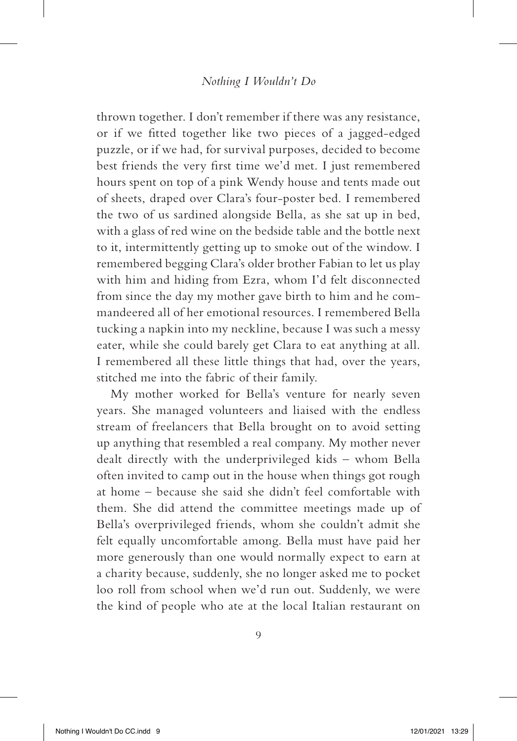#### *Nothing I Wouldn't Do*

thrown together. I don't remember if there was any resistance, or if we fitted together like two pieces of a jagged-edged puzzle, or if we had, for survival purposes, decided to become best friends the very first time we'd met. I just remembered hours spent on top of a pink Wendy house and tents made out of sheets, draped over Clara's four-poster bed. I remembered the two of us sardined alongside Bella, as she sat up in bed, with a glass of red wine on the bedside table and the bottle next to it, intermittently getting up to smoke out of the window. I remembered begging Clara's older brother Fabian to let us play with him and hiding from Ezra, whom I'd felt disconnected from since the day my mother gave birth to him and he commandeered all of her emotional resources. I remembered Bella tucking a napkin into my neckline, because I was such a messy eater, while she could barely get Clara to eat anything at all. I remembered all these little things that had, over the years, stitched me into the fabric of their family.

My mother worked for Bella's venture for nearly seven years. She managed volunteers and liaised with the endless stream of freelancers that Bella brought on to avoid setting up anything that resembled a real company. My mother never dealt directly with the underprivileged kids – whom Bella often invited to camp out in the house when things got rough at home – because she said she didn't feel comfortable with them. She did attend the committee meetings made up of Bella's overprivileged friends, whom she couldn't admit she felt equally uncomfortable among. Bella must have paid her more generously than one would normally expect to earn at a charity because, suddenly, she no longer asked me to pocket loo roll from school when we'd run out. Suddenly, we were the kind of people who ate at the local Italian restaurant on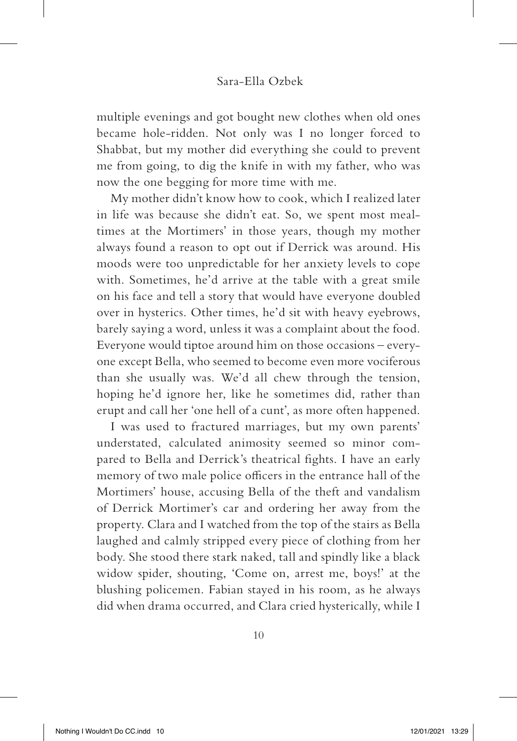multiple evenings and got bought new clothes when old ones became hole-ridden. Not only was I no longer forced to Shabbat, but my mother did everything she could to prevent me from going, to dig the knife in with my father, who was now the one begging for more time with me.

My mother didn't know how to cook, which I realized later in life was because she didn't eat. So, we spent most mealtimes at the Mortimers' in those years, though my mother always found a reason to opt out if Derrick was around. His moods were too unpredictable for her anxiety levels to cope with. Sometimes, he'd arrive at the table with a great smile on his face and tell a story that would have everyone doubled over in hysterics. Other times, he'd sit with heavy eyebrows, barely saying a word, unless it was a complaint about the food. Everyone would tiptoe around him on those occasions – everyone except Bella, who seemed to become even more vociferous than she usually was. We'd all chew through the tension, hoping he'd ignore her, like he sometimes did, rather than erupt and call her 'one hell of a cunt', as more often happened.

I was used to fractured marriages, but my own parents' understated, calculated animosity seemed so minor compared to Bella and Derrick's theatrical fights. I have an early memory of two male police officers in the entrance hall of the Mortimers' house, accusing Bella of the theft and vandalism of Derrick Mortimer's car and ordering her away from the property. Clara and I watched from the top of the stairs as Bella laughed and calmly stripped every piece of clothing from her body. She stood there stark naked, tall and spindly like a black widow spider, shouting, 'Come on, arrest me, boys!' at the blushing policemen. Fabian stayed in his room, as he always did when drama occurred, and Clara cried hysterically, while I

10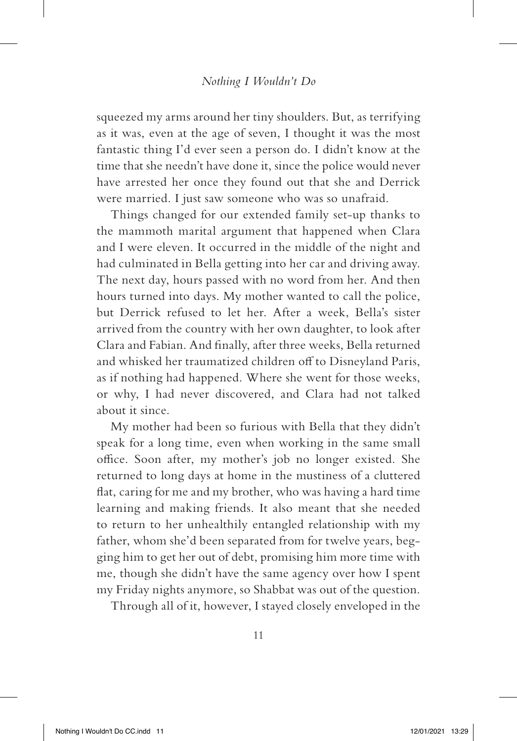#### *Nothing I Wouldn't Do*

squeezed my arms around her tiny shoulders. But, as terrifying as it was, even at the age of seven, I thought it was the most fantastic thing I'd ever seen a person do. I didn't know at the time that she needn't have done it, since the police would never have arrested her once they found out that she and Derrick were married. I just saw someone who was so unafraid.

Things changed for our extended family set-up thanks to the mammoth marital argument that happened when Clara and I were eleven. It occurred in the middle of the night and had culminated in Bella getting into her car and driving away. The next day, hours passed with no word from her. And then hours turned into days. My mother wanted to call the police, but Derrick refused to let her. After a week, Bella's sister arrived from the country with her own daughter, to look after Clara and Fabian. And finally, after three weeks, Bella returned and whisked her traumatized children off to Disneyland Paris, as if nothing had happened. Where she went for those weeks, or why, I had never discovered, and Clara had not talked about it since.

My mother had been so furious with Bella that they didn't speak for a long time, even when working in the same small office. Soon after, my mother's job no longer existed. She returned to long days at home in the mustiness of a cluttered flat, caring for me and my brother, who was having a hard time learning and making friends. It also meant that she needed to return to her unhealthily entangled relationship with my father, whom she'd been separated from for twelve years, begging him to get her out of debt, promising him more time with me, though she didn't have the same agency over how I spent my Friday nights anymore, so Shabbat was out of the question.

Through all of it, however, I stayed closely enveloped in the